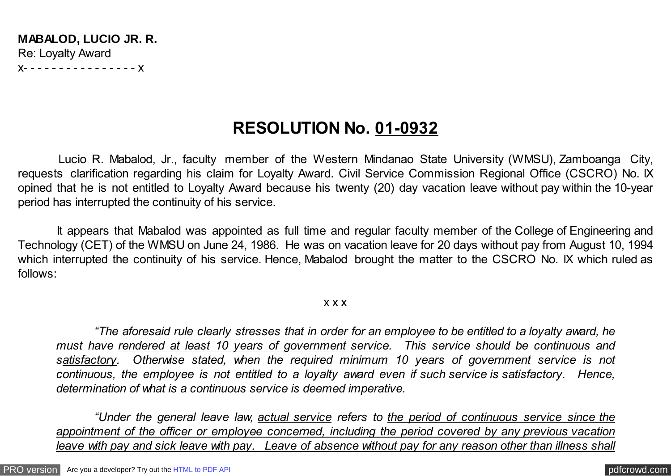**MABALOD, LUCIO JR. R.** Re: Loyalty Award x- - - - - - - - - - - - - - - - x

## **RESOLUTION No. 01-0932**

 Lucio R. Mabalod, Jr., faculty member of the Western Mindanao State University (WMSU), Zamboanga City, requests clarification regarding his claim for Loyalty Award. Civil Service Commission Regional Office (CSCRO) No. IX opined that he is not entitled to Loyalty Award because his twenty (20) day vacation leave without pay within the 10-year period has interrupted the continuity of his service.

 It appears that Mabalod was appointed as full time and regular faculty member of the College of Engineering and Technology (CET) of the WMSU on June 24, 1986. He was on vacation leave for 20 days without pay from August 10, 1994 which interrupted the continuity of his service. Hence, Mabalod brought the matter to the CSCRO No. IX which ruled as follows:

## x x x

*"The aforesaid rule clearly stresses that in order for an employee to be entitled to a loyalty award, he must have rendered at least 10 years of government service. This service should be continuous and satisfactory. Otherwise stated, when the required minimum 10 years of government service is not continuous, the employee is not entitled to a loyalty award even if such service is satisfactory. Hence, determination of what is a continuous service is deemed imperative.*

*"Under the general leave law, actual service refers to the period of continuous service since the appointment of the officer or employee concerned, including the period covered by any previous vacation leave with pay and sick leave with pay. Leave of absence without pay for any reason other than illness shall*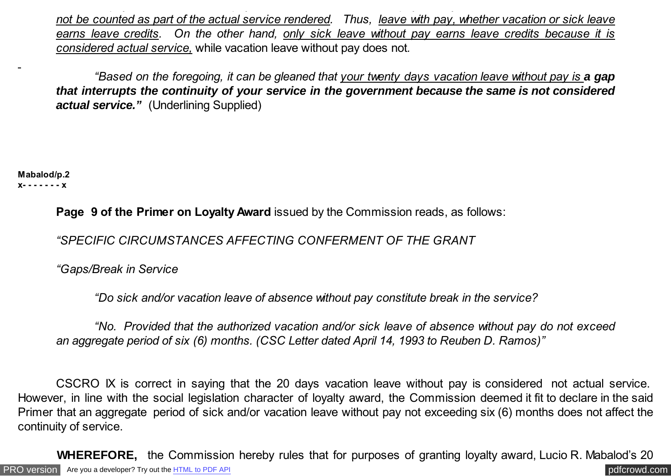*not be counted as part of the actual service rendered. Thus, leave with pay, whether vacation or sick leave earns leave credits. On the other hand, only sick leave without pay earns leave credits because it is considered actual service,* while vacation leave without pay does not*.*

*"Based on the foregoing, it can be gleaned that your twenty days vacation leave without pay is a gap that interrupts the continuity of your service in the government because the same is not considered actual service."* (Underlining Supplied)

**Mabalod/p.2 x- - - - - - - x**

**Page 9 of the Primer on Loyalty Award** issued by the Commission reads, as follows:

*"SPECIFIC CIRCUMSTANCES AFFECTING CONFERMENT OF THE GRANT*

*"Gaps/Break in Service*

 *"Do sick and/or vacation leave of absence without pay constitute break in the service?*

 *"No. Provided that the authorized vacation and/or sick leave of absence without pay do not exceed an aggregate period of six (6) months. (CSC Letter dated April 14, 1993 to Reuben D. Ramos)"*

CSCRO IX is correct in saying that the 20 days vacation leave without pay is considered not actual service. However, in line with the social legislation character of loyalty award, the Commission deemed it fit to declare in the said Primer that an aggregate period of sick and/or vacation leave without pay not exceeding six (6) months does not affect the continuity of service.

[PRO version](http://pdfcrowd.com/customize/) Are you a developer? Try out th[e HTML to PDF API](http://pdfcrowd.com/html-to-pdf-api/?ref=pdf) contract the CHTML of PDF API [pdfcrowd.com](http://pdfcrowd.com) **WHEREFORE,** the Commission hereby rules that for purposes of granting loyalty award, Lucio R. Mabalod's 20